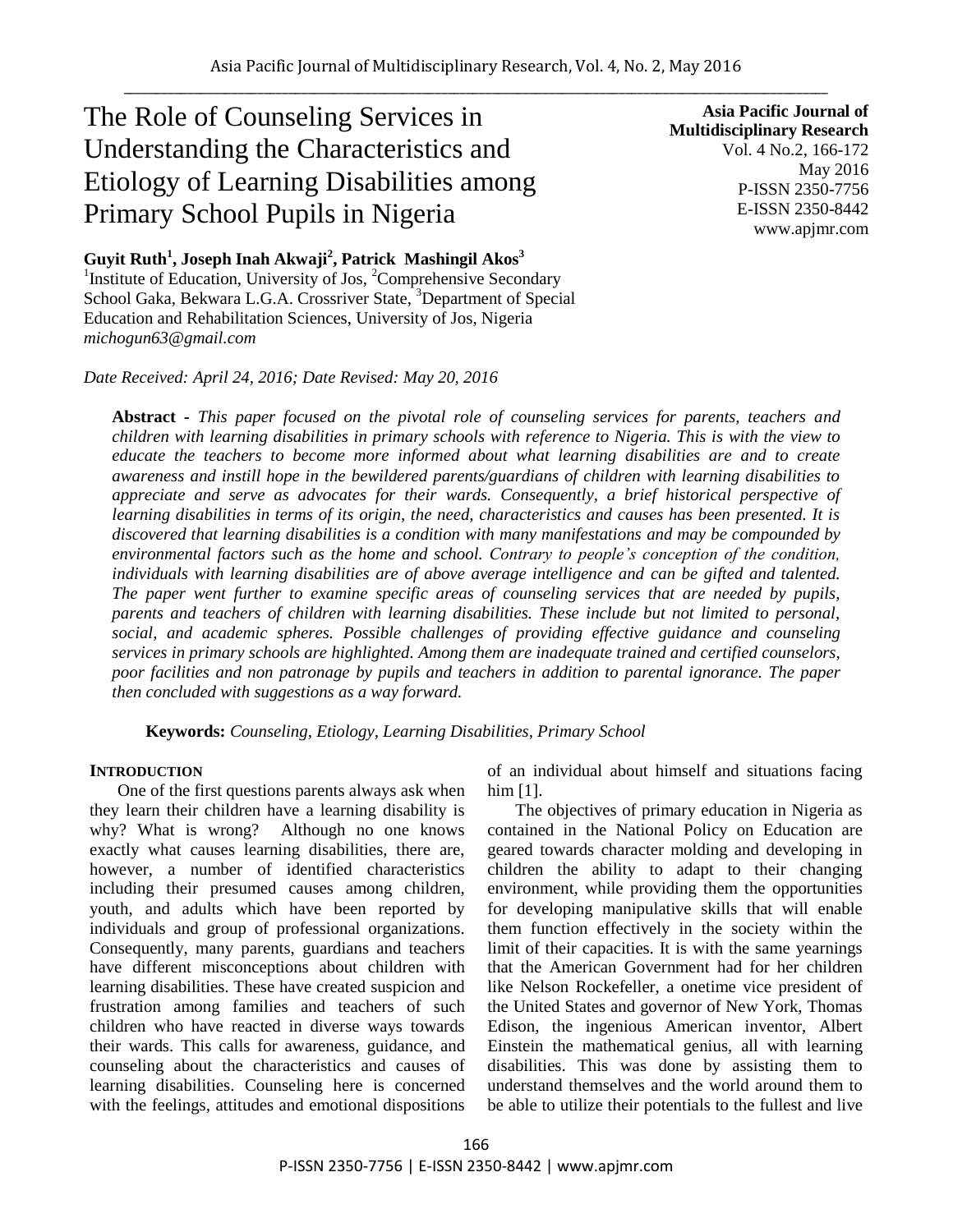# The Role of Counseling Services in Understanding the Characteristics and Etiology of Learning Disabilities among Primary School Pupils in Nigeria

**Guyit Ruth<sup>1</sup> , Joseph Inah Akwaji<sup>2</sup> , Patrick Mashingil Akos<sup>3</sup>** <sup>1</sup> Institute of Education, University of Jos, <sup>2</sup>Comprehensive Secondary School Gaka, Bekwara L.G.A. Crossriver State, <sup>3</sup>Department of Special

Education and Rehabilitation Sciences, University of Jos, Nigeria *michogun63@gmail.com*

*Date Received: April 24, 2016; Date Revised: May 20, 2016*

**Asia Pacific Journal of Multidisciplinary Research** Vol. 4 No.2, 166-172 May 2016 P-ISSN 2350-7756 E-ISSN 2350-8442 www.apjmr.com

**Abstract -** *This paper focused on the pivotal role of counseling services for parents, teachers and children with learning disabilities in primary schools with reference to Nigeria. This is with the view to educate the teachers to become more informed about what learning disabilities are and to create awareness and instill hope in the bewildered parents/guardians of children with learning disabilities to appreciate and serve as advocates for their wards. Consequently, a brief historical perspective of learning disabilities in terms of its origin, the need, characteristics and causes has been presented. It is discovered that learning disabilities is a condition with many manifestations and may be compounded by environmental factors such as the home and school. Contrary to people's conception of the condition, individuals with learning disabilities are of above average intelligence and can be gifted and talented. The paper went further to examine specific areas of counseling services that are needed by pupils, parents and teachers of children with learning disabilities. These include but not limited to personal, social, and academic spheres. Possible challenges of providing effective guidance and counseling services in primary schools are highlighted. Among them are inadequate trained and certified counselors, poor facilities and non patronage by pupils and teachers in addition to parental ignorance. The paper then concluded with suggestions as a way forward.*

**Keywords:** *Counseling, Etiology, Learning Disabilities, Primary School*

#### **INTRODUCTION**

One of the first questions parents always ask when they learn their children have a learning disability is why? What is wrong? Although no one knows exactly what causes learning disabilities, there are, however, a number of identified characteristics including their presumed causes among children, youth, and adults which have been reported by individuals and group of professional organizations. Consequently, many parents, guardians and teachers have different misconceptions about children with learning disabilities. These have created suspicion and frustration among families and teachers of such children who have reacted in diverse ways towards their wards. This calls for awareness, guidance, and counseling about the characteristics and causes of learning disabilities. Counseling here is concerned with the feelings, attitudes and emotional dispositions of an individual about himself and situations facing him [1].

The objectives of primary education in Nigeria as contained in the National Policy on Education are geared towards character molding and developing in children the ability to adapt to their changing environment, while providing them the opportunities for developing manipulative skills that will enable them function effectively in the society within the limit of their capacities. It is with the same yearnings that the American Government had for her children like Nelson Rockefeller, a onetime vice president of the United States and governor of New York, Thomas Edison, the ingenious American inventor, Albert Einstein the mathematical genius, all with learning disabilities. This was done by assisting them to understand themselves and the world around them to be able to utilize their potentials to the fullest and live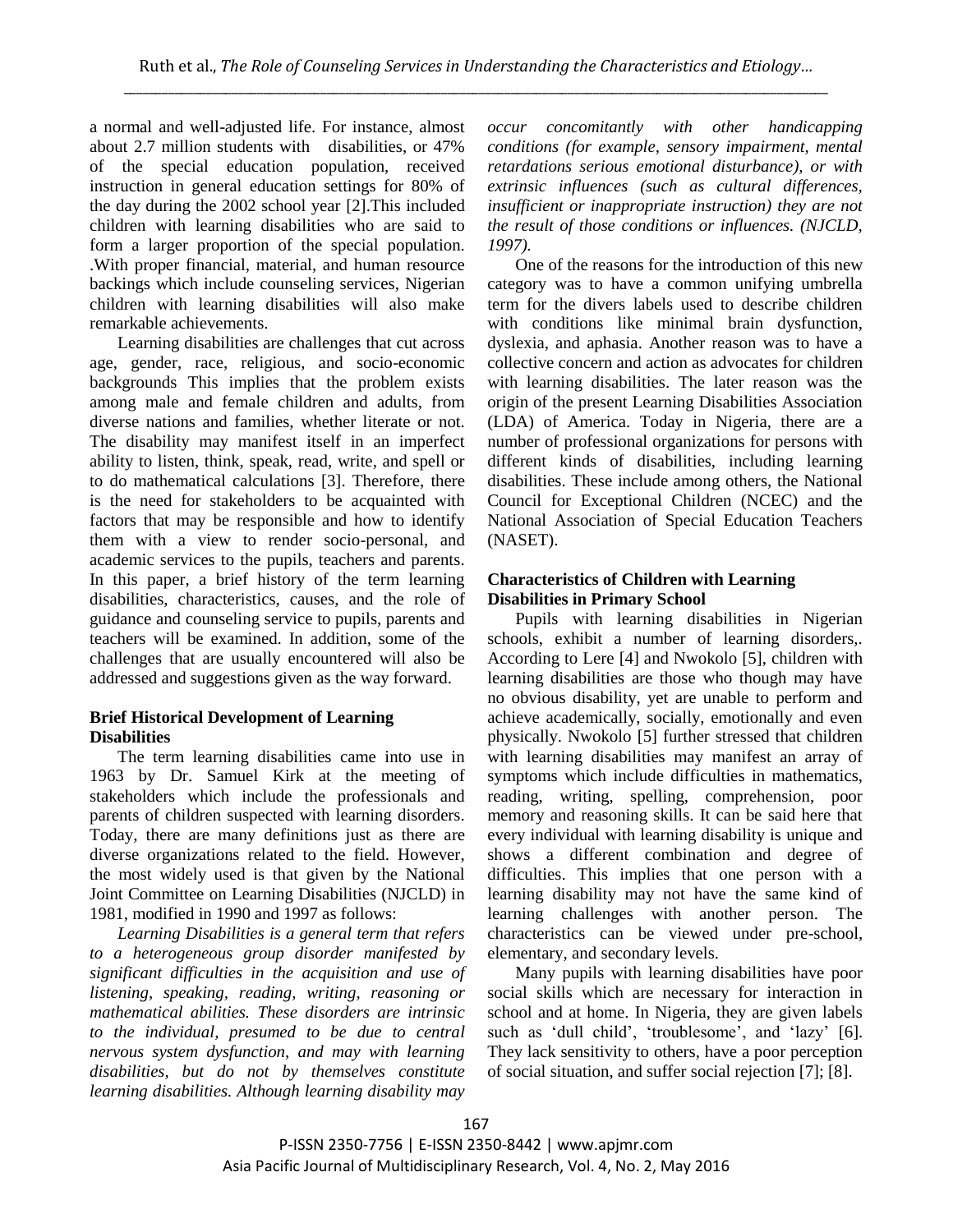a normal and well-adjusted life. For instance, almost about 2.7 million students with disabilities, or 47% of the special education population, received instruction in general education settings for 80% of the day during the 2002 school year [2].This included children with learning disabilities who are said to form a larger proportion of the special population. .With proper financial, material, and human resource backings which include counseling services, Nigerian children with learning disabilities will also make remarkable achievements.

Learning disabilities are challenges that cut across age, gender, race, religious, and socio-economic backgrounds This implies that the problem exists among male and female children and adults, from diverse nations and families, whether literate or not. The disability may manifest itself in an imperfect ability to listen, think, speak, read, write, and spell or to do mathematical calculations [3]. Therefore, there is the need for stakeholders to be acquainted with factors that may be responsible and how to identify them with a view to render socio-personal, and academic services to the pupils, teachers and parents. In this paper, a brief history of the term learning disabilities, characteristics, causes, and the role of guidance and counseling service to pupils, parents and teachers will be examined. In addition, some of the challenges that are usually encountered will also be addressed and suggestions given as the way forward.

## **Brief Historical Development of Learning Disabilities**

The term learning disabilities came into use in 1963 by Dr. Samuel Kirk at the meeting of stakeholders which include the professionals and parents of children suspected with learning disorders. Today, there are many definitions just as there are diverse organizations related to the field. However, the most widely used is that given by the National Joint Committee on Learning Disabilities (NJCLD) in 1981, modified in 1990 and 1997 as follows:

*Learning Disabilities is a general term that refers to a heterogeneous group disorder manifested by significant difficulties in the acquisition and use of listening, speaking, reading, writing, reasoning or mathematical abilities. These disorders are intrinsic to the individual, presumed to be due to central nervous system dysfunction, and may with learning disabilities, but do not by themselves constitute learning disabilities. Although learning disability may* 

*occur concomitantly with other handicapping conditions (for example, sensory impairment, mental retardations serious emotional disturbance), or with extrinsic influences (such as cultural differences, insufficient or inappropriate instruction) they are not the result of those conditions or influences. (NJCLD, 1997).*

One of the reasons for the introduction of this new category was to have a common unifying umbrella term for the divers labels used to describe children with conditions like minimal brain dysfunction, dyslexia, and aphasia. Another reason was to have a collective concern and action as advocates for children with learning disabilities. The later reason was the origin of the present Learning Disabilities Association (LDA) of America. Today in Nigeria, there are a number of professional organizations for persons with different kinds of disabilities, including learning disabilities. These include among others, the National Council for Exceptional Children (NCEC) and the National Association of Special Education Teachers (NASET).

## **Characteristics of Children with Learning Disabilities in Primary School**

Pupils with learning disabilities in Nigerian schools, exhibit a number of learning disorders,. According to Lere [4] and Nwokolo [5], children with learning disabilities are those who though may have no obvious disability, yet are unable to perform and achieve academically, socially, emotionally and even physically. Nwokolo [5] further stressed that children with learning disabilities may manifest an array of symptoms which include difficulties in mathematics, reading, writing, spelling, comprehension, poor memory and reasoning skills. It can be said here that every individual with learning disability is unique and shows a different combination and degree of difficulties. This implies that one person with a learning disability may not have the same kind of learning challenges with another person. The characteristics can be viewed under pre-school, elementary, and secondary levels.

Many pupils with learning disabilities have poor social skills which are necessary for interaction in school and at home. In Nigeria, they are given labels such as 'dull child', 'troublesome', and 'lazy' [6]. They lack sensitivity to others, have a poor perception of social situation, and suffer social rejection [7]; [8].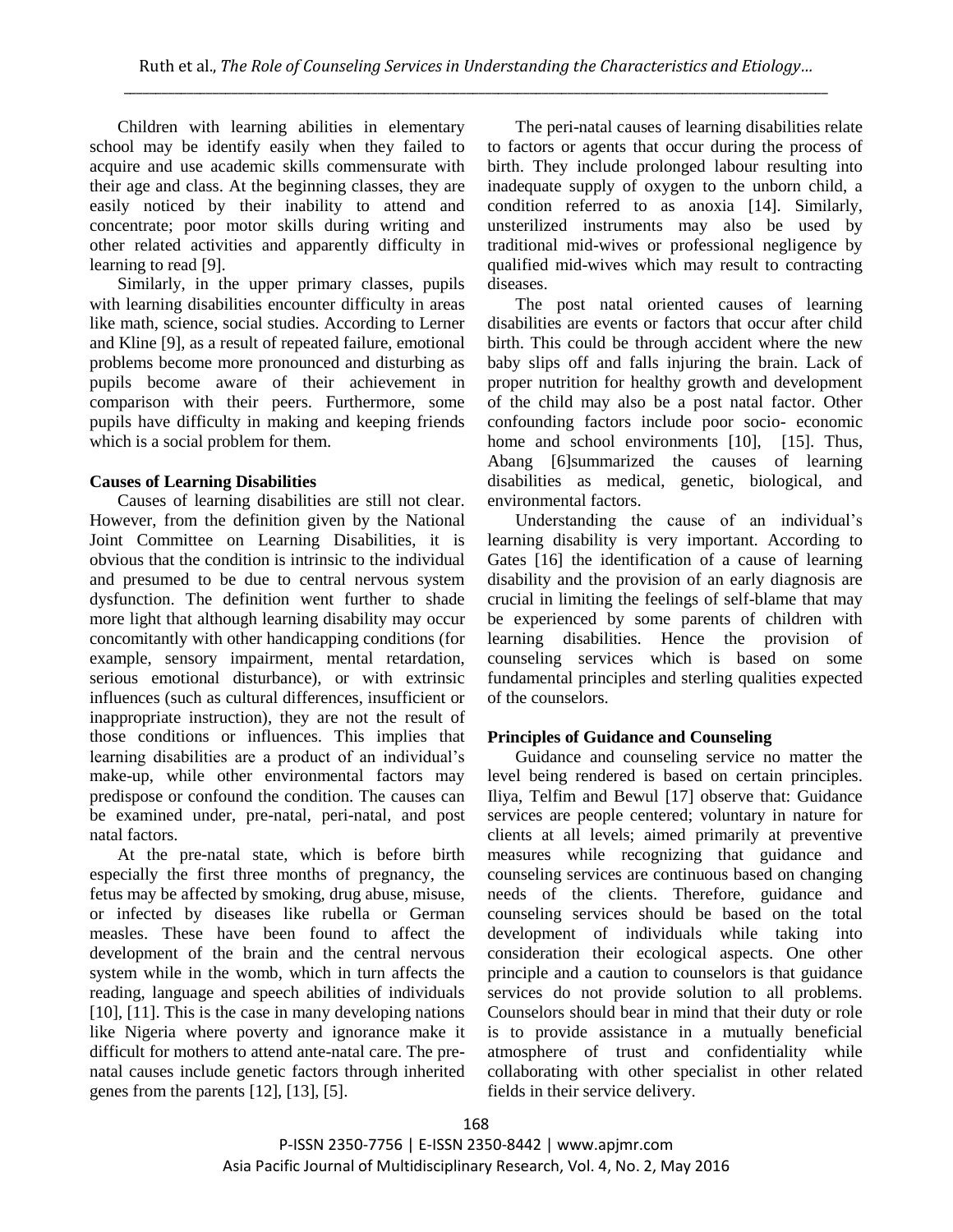Children with learning abilities in elementary school may be identify easily when they failed to acquire and use academic skills commensurate with their age and class. At the beginning classes, they are easily noticed by their inability to attend and concentrate; poor motor skills during writing and other related activities and apparently difficulty in learning to read [9].

Similarly, in the upper primary classes, pupils with learning disabilities encounter difficulty in areas like math, science, social studies. According to Lerner and Kline [9], as a result of repeated failure, emotional problems become more pronounced and disturbing as pupils become aware of their achievement in comparison with their peers. Furthermore, some pupils have difficulty in making and keeping friends which is a social problem for them.

## **Causes of Learning Disabilities**

Causes of learning disabilities are still not clear. However, from the definition given by the National Joint Committee on Learning Disabilities, it is obvious that the condition is intrinsic to the individual and presumed to be due to central nervous system dysfunction. The definition went further to shade more light that although learning disability may occur concomitantly with other handicapping conditions (for example, sensory impairment, mental retardation, serious emotional disturbance), or with extrinsic influences (such as cultural differences, insufficient or inappropriate instruction), they are not the result of those conditions or influences. This implies that learning disabilities are a product of an individual's make-up, while other environmental factors may predispose or confound the condition. The causes can be examined under, pre-natal, peri-natal, and post natal factors.

At the pre-natal state, which is before birth especially the first three months of pregnancy, the fetus may be affected by smoking, drug abuse, misuse, or infected by diseases like rubella or German measles. These have been found to affect the development of the brain and the central nervous system while in the womb, which in turn affects the reading, language and speech abilities of individuals [10], [11]. This is the case in many developing nations like Nigeria where poverty and ignorance make it difficult for mothers to attend ante-natal care. The prenatal causes include genetic factors through inherited genes from the parents [12], [13], [5].

The peri-natal causes of learning disabilities relate to factors or agents that occur during the process of birth. They include prolonged labour resulting into inadequate supply of oxygen to the unborn child, a condition referred to as anoxia [14]. Similarly, unsterilized instruments may also be used by traditional mid-wives or professional negligence by qualified mid-wives which may result to contracting diseases.

The post natal oriented causes of learning disabilities are events or factors that occur after child birth. This could be through accident where the new baby slips off and falls injuring the brain. Lack of proper nutrition for healthy growth and development of the child may also be a post natal factor. Other confounding factors include poor socio- economic home and school environments [10], [15]. Thus, Abang [6]summarized the causes of learning disabilities as medical, genetic, biological, and environmental factors.

Understanding the cause of an individual's learning disability is very important. According to Gates [16] the identification of a cause of learning disability and the provision of an early diagnosis are crucial in limiting the feelings of self-blame that may be experienced by some parents of children with learning disabilities. Hence the provision of counseling services which is based on some fundamental principles and sterling qualities expected of the counselors.

## **Principles of Guidance and Counseling**

Guidance and counseling service no matter the level being rendered is based on certain principles. Iliya, Telfim and Bewul [17] observe that: Guidance services are people centered; voluntary in nature for clients at all levels; aimed primarily at preventive measures while recognizing that guidance and counseling services are continuous based on changing needs of the clients. Therefore, guidance and counseling services should be based on the total development of individuals while taking into consideration their ecological aspects. One other principle and a caution to counselors is that guidance services do not provide solution to all problems. Counselors should bear in mind that their duty or role is to provide assistance in a mutually beneficial atmosphere of trust and confidentiality while collaborating with other specialist in other related fields in their service delivery.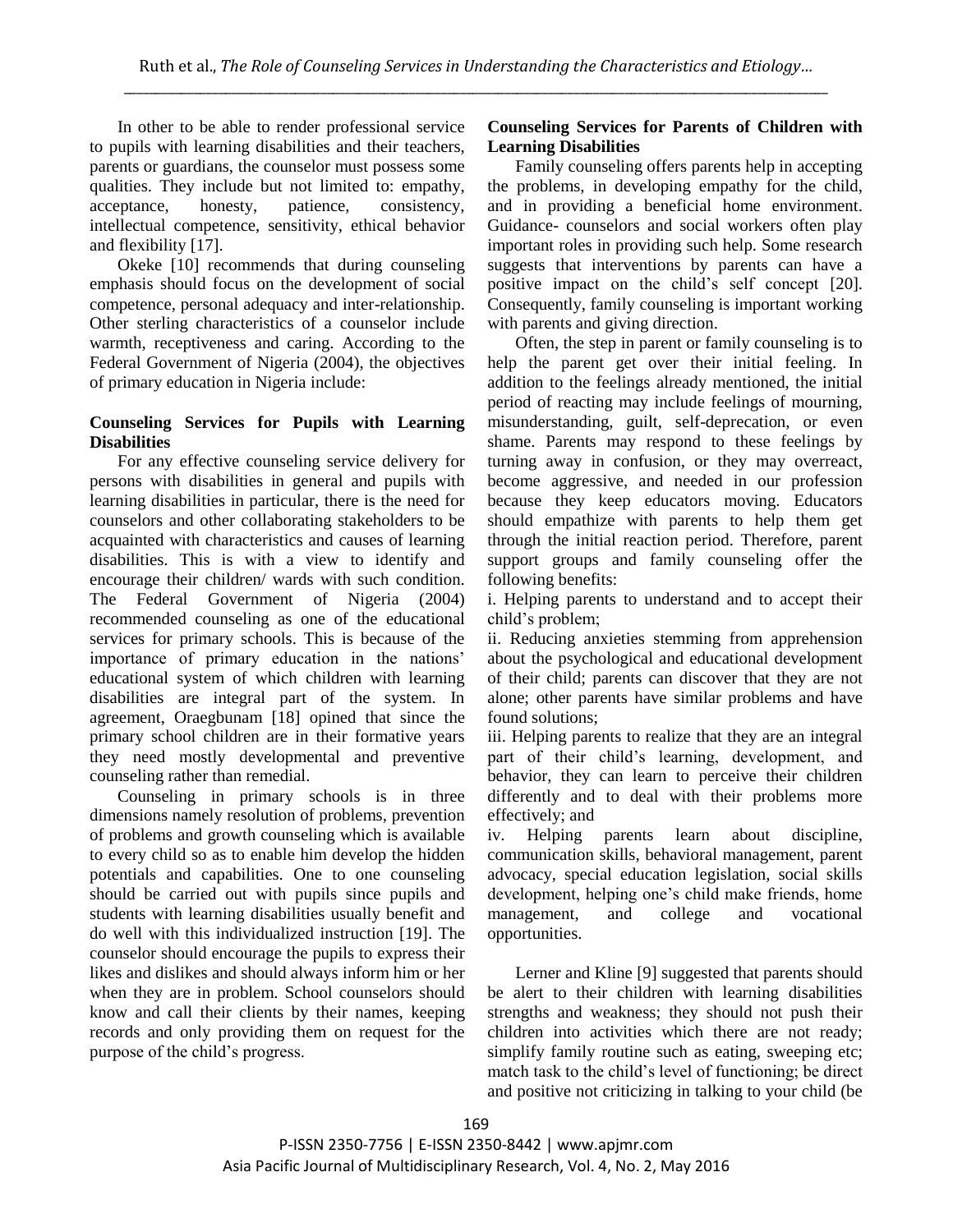In other to be able to render professional service to pupils with learning disabilities and their teachers, parents or guardians, the counselor must possess some qualities. They include but not limited to: empathy, acceptance, honesty, patience, consistency, intellectual competence, sensitivity, ethical behavior and flexibility [17].

Okeke [10] recommends that during counseling emphasis should focus on the development of social competence, personal adequacy and inter-relationship. Other sterling characteristics of a counselor include warmth, receptiveness and caring. According to the Federal Government of Nigeria (2004), the objectives of primary education in Nigeria include:

#### **Counseling Services for Pupils with Learning Disabilities**

For any effective counseling service delivery for persons with disabilities in general and pupils with learning disabilities in particular, there is the need for counselors and other collaborating stakeholders to be acquainted with characteristics and causes of learning disabilities. This is with a view to identify and encourage their children/ wards with such condition. The Federal Government of Nigeria (2004) recommended counseling as one of the educational services for primary schools. This is because of the importance of primary education in the nations' educational system of which children with learning disabilities are integral part of the system. In agreement, Oraegbunam [18] opined that since the primary school children are in their formative years they need mostly developmental and preventive counseling rather than remedial.

Counseling in primary schools is in three dimensions namely resolution of problems, prevention of problems and growth counseling which is available to every child so as to enable him develop the hidden potentials and capabilities. One to one counseling should be carried out with pupils since pupils and students with learning disabilities usually benefit and do well with this individualized instruction [19]. The counselor should encourage the pupils to express their likes and dislikes and should always inform him or her when they are in problem. School counselors should know and call their clients by their names, keeping records and only providing them on request for the purpose of the child's progress.

#### **Counseling Services for Parents of Children with Learning Disabilities**

Family counseling offers parents help in accepting the problems, in developing empathy for the child, and in providing a beneficial home environment. Guidance- counselors and social workers often play important roles in providing such help. Some research suggests that interventions by parents can have a positive impact on the child's self concept [20]. Consequently, family counseling is important working with parents and giving direction.

Often, the step in parent or family counseling is to help the parent get over their initial feeling. In addition to the feelings already mentioned, the initial period of reacting may include feelings of mourning, misunderstanding, guilt, self-deprecation, or even shame. Parents may respond to these feelings by turning away in confusion, or they may overreact, become aggressive, and needed in our profession because they keep educators moving. Educators should empathize with parents to help them get through the initial reaction period. Therefore, parent support groups and family counseling offer the following benefits:

i. Helping parents to understand and to accept their child's problem;

ii. Reducing anxieties stemming from apprehension about the psychological and educational development of their child; parents can discover that they are not alone; other parents have similar problems and have found solutions;

iii. Helping parents to realize that they are an integral part of their child's learning, development, and behavior, they can learn to perceive their children differently and to deal with their problems more effectively; and

iv. Helping parents learn about discipline, communication skills, behavioral management, parent advocacy, special education legislation, social skills development, helping one's child make friends, home management, and college and vocational opportunities.

Lerner and Kline [9] suggested that parents should be alert to their children with learning disabilities strengths and weakness; they should not push their children into activities which there are not ready; simplify family routine such as eating, sweeping etc; match task to the child's level of functioning; be direct and positive not criticizing in talking to your child (be

P-ISSN 2350-7756 | E-ISSN 2350-8442 | www.apjmr.com Asia Pacific Journal of Multidisciplinary Research, Vol. 4, No. 2, May 2016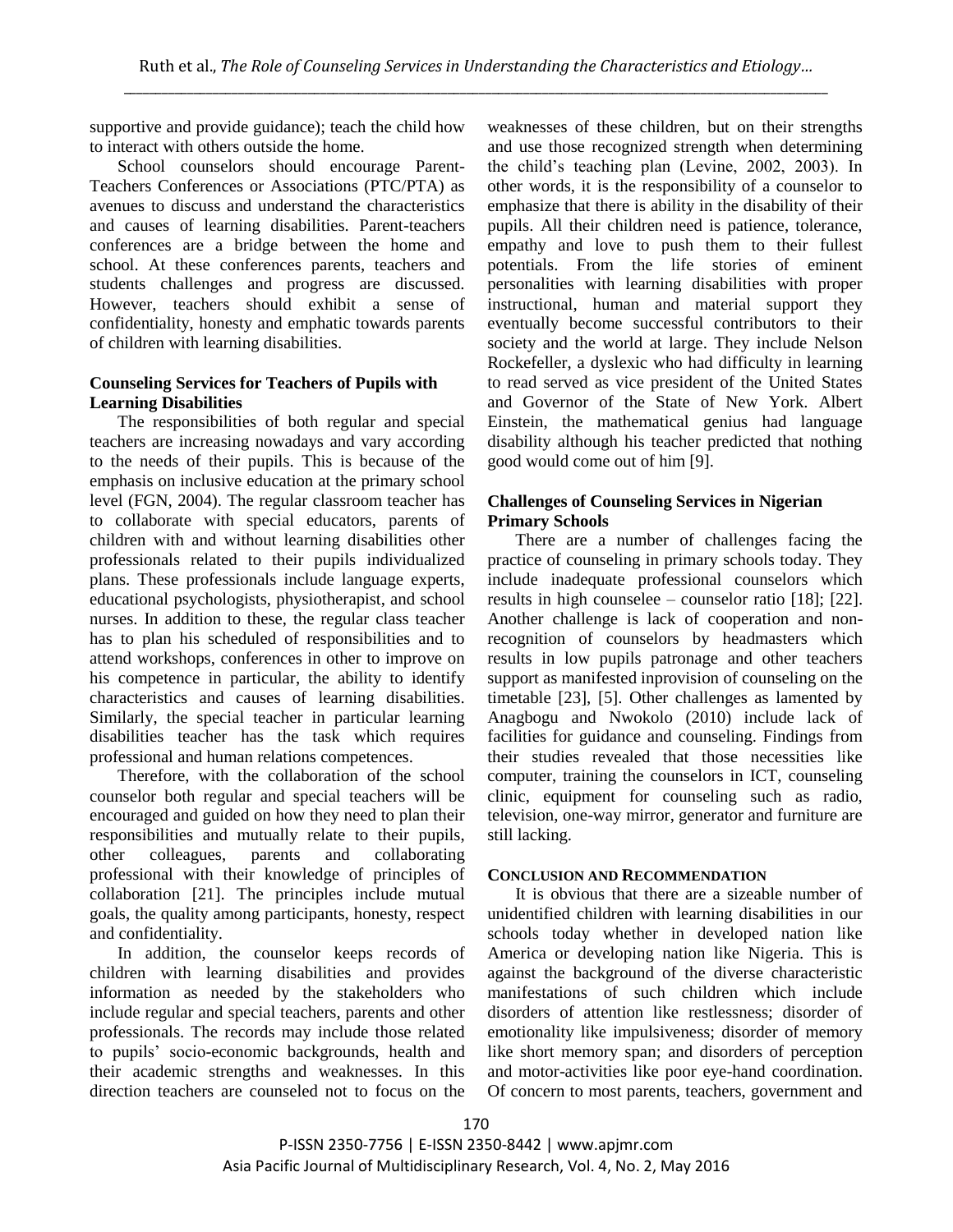supportive and provide guidance); teach the child how to interact with others outside the home.

School counselors should encourage Parent-Teachers Conferences or Associations (PTC/PTA) as avenues to discuss and understand the characteristics and causes of learning disabilities. Parent-teachers conferences are a bridge between the home and school. At these conferences parents, teachers and students challenges and progress are discussed. However, teachers should exhibit a sense of confidentiality, honesty and emphatic towards parents of children with learning disabilities.

### **Counseling Services for Teachers of Pupils with Learning Disabilities**

The responsibilities of both regular and special teachers are increasing nowadays and vary according to the needs of their pupils. This is because of the emphasis on inclusive education at the primary school level (FGN, 2004). The regular classroom teacher has to collaborate with special educators, parents of children with and without learning disabilities other professionals related to their pupils individualized plans. These professionals include language experts, educational psychologists, physiotherapist, and school nurses. In addition to these, the regular class teacher has to plan his scheduled of responsibilities and to attend workshops, conferences in other to improve on his competence in particular, the ability to identify characteristics and causes of learning disabilities. Similarly, the special teacher in particular learning disabilities teacher has the task which requires professional and human relations competences.

Therefore, with the collaboration of the school counselor both regular and special teachers will be encouraged and guided on how they need to plan their responsibilities and mutually relate to their pupils, other colleagues, parents and collaborating professional with their knowledge of principles of collaboration [21]. The principles include mutual goals, the quality among participants, honesty, respect and confidentiality.

In addition, the counselor keeps records of children with learning disabilities and provides information as needed by the stakeholders who include regular and special teachers, parents and other professionals. The records may include those related to pupils' socio-economic backgrounds, health and their academic strengths and weaknesses. In this direction teachers are counseled not to focus on the

weaknesses of these children, but on their strengths and use those recognized strength when determining the child's teaching plan (Levine, 2002, 2003). In other words, it is the responsibility of a counselor to emphasize that there is ability in the disability of their pupils. All their children need is patience, tolerance, empathy and love to push them to their fullest potentials. From the life stories of eminent personalities with learning disabilities with proper instructional, human and material support they eventually become successful contributors to their society and the world at large. They include Nelson Rockefeller, a dyslexic who had difficulty in learning to read served as vice president of the United States and Governor of the State of New York. Albert Einstein, the mathematical genius had language disability although his teacher predicted that nothing good would come out of him [9].

## **Challenges of Counseling Services in Nigerian Primary Schools**

There are a number of challenges facing the practice of counseling in primary schools today. They include inadequate professional counselors which results in high counselee – counselor ratio [18]; [22]. Another challenge is lack of cooperation and nonrecognition of counselors by headmasters which results in low pupils patronage and other teachers support as manifested inprovision of counseling on the timetable [23], [5]. Other challenges as lamented by Anagbogu and Nwokolo (2010) include lack of facilities for guidance and counseling. Findings from their studies revealed that those necessities like computer, training the counselors in ICT, counseling clinic, equipment for counseling such as radio, television, one-way mirror, generator and furniture are still lacking.

#### **CONCLUSION AND RECOMMENDATION**

It is obvious that there are a sizeable number of unidentified children with learning disabilities in our schools today whether in developed nation like America or developing nation like Nigeria. This is against the background of the diverse characteristic manifestations of such children which include disorders of attention like restlessness; disorder of emotionality like impulsiveness; disorder of memory like short memory span; and disorders of perception and motor-activities like poor eye-hand coordination. Of concern to most parents, teachers, government and

P-ISSN 2350-7756 | E-ISSN 2350-8442 | www.apjmr.com Asia Pacific Journal of Multidisciplinary Research, Vol. 4, No. 2, May 2016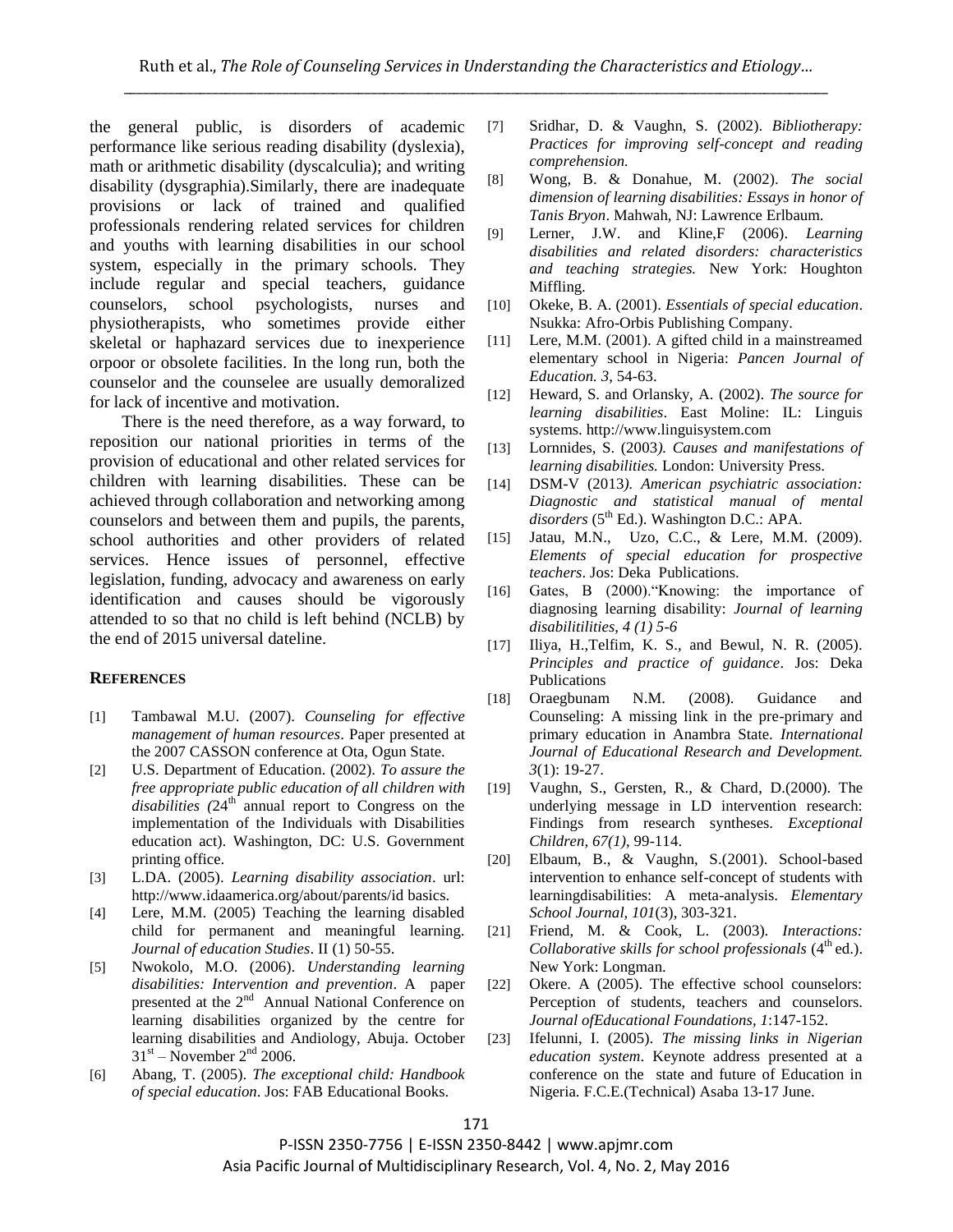the general public, is disorders of academic performance like serious reading disability (dyslexia), math or arithmetic disability (dyscalculia); and writing disability (dysgraphia).Similarly, there are inadequate provisions or lack of trained and qualified professionals rendering related services for children and youths with learning disabilities in our school system, especially in the primary schools. They include regular and special teachers, guidance counselors, school psychologists, nurses and physiotherapists, who sometimes provide either skeletal or haphazard services due to inexperience orpoor or obsolete facilities. In the long run, both the counselor and the counselee are usually demoralized for lack of incentive and motivation.

There is the need therefore, as a way forward, to reposition our national priorities in terms of the provision of educational and other related services for children with learning disabilities. These can be achieved through collaboration and networking among counselors and between them and pupils, the parents, school authorities and other providers of related services. Hence issues of personnel, effective legislation, funding, advocacy and awareness on early identification and causes should be vigorously attended to so that no child is left behind (NCLB) by the end of 2015 universal dateline.

#### **REFERENCES**

- [1] Tambawal M.U. (2007). *Counseling for effective management of human resources*. Paper presented at the 2007 CASSON conference at Ota, Ogun State.
- [2] U.S. Department of Education. (2002). *To assure the free appropriate public education of all children with*  disabilities (24<sup>th</sup> annual report to Congress on the implementation of the Individuals with Disabilities education act). Washington, DC: U.S. Government printing office.
- [3] L.DA. (2005). *Learning disability association*. url: http://www.idaamerica.org/about/parents/id basics.
- [4] Lere, M.M. (2005) Teaching the learning disabled child for permanent and meaningful learning. *Journal of education Studies*. II (1) 50-55.
- [5] Nwokolo, M.O. (2006). *Understanding learning disabilities: Intervention and prevention*. A paper presented at the 2<sup>nd</sup> Annual National Conference on learning disabilities organized by the centre for learning disabilities and Andiology, Abuja. October  $31<sup>st</sup>$  – November  $2<sup>nd</sup>$  2006.
- [6] Abang, T. (2005). *The exceptional child: Handbook of special education*. Jos: FAB Educational Books.
- [7] Sridhar, D. & Vaughn, S. (2002). *Bibliotherapy: Practices for improving self-concept and reading comprehension.*
- [8] Wong, B. & Donahue, M. (2002). *The social dimension of learning disabilities: Essays in honor of Tanis Bryon*. Mahwah, NJ: Lawrence Erlbaum.
- [9] Lerner, J.W. and Kline,F (2006). *Learning disabilities and related disorders: characteristics and teaching strategies.* New York: Houghton Miffling.
- [10] Okeke, B. A. (2001). *Essentials of special education*. Nsukka: Afro-Orbis Publishing Company.
- [11] Lere, M.M. (2001). A gifted child in a mainstreamed elementary school in Nigeria: *Pancen Journal of Education. 3*, 54-63.
- [12] Heward, S. and Orlansky, A. (2002). *The source for learning disabilities*. East Moline: IL: Linguis systems. http://www.linguisystem.com
- [13] Lornnides, S. (2003*). Causes and manifestations of learning disabilities.* London: University Press.
- [14] DSM-V (2013*). American psychiatric association: Diagnostic and statistical manual of mental*  disorders (5<sup>th</sup> Ed.). Washington D.C.: APA.
- [15] Jatau, M.N., Uzo, C.C., & Lere, M.M. (2009). *Elements of special education for prospective teachers*. Jos: Deka Publications.
- [16] Gates, B (2000)."Knowing: the importance of diagnosing learning disability: *Journal of learning disabilitilities*, *4 (1) 5-6*
- [17] Iliya, H.,Telfim, K. S., and Bewul, N. R. (2005). *Principles and practice of guidance*. Jos: Deka Publications
- [18] Oraegbunam N.M. (2008). Guidance and Counseling: A missing link in the pre-primary and primary education in Anambra State. *International Journal of Educational Research and Development. 3*(1): 19-27.
- [19] Vaughn, S., Gersten, R., & Chard, D.(2000). The underlying message in LD intervention research: Findings from research syntheses*. Exceptional Children, 67(1)*, 99-114.
- [20] Elbaum, B., & Vaughn, S.(2001). School-based intervention to enhance self-concept of students with learningdisabilities: A meta-analysis. *Elementary School Journal, 101*(3), 303-321.
- [21] Friend, M. & Cook, L. (2003). *Interactions: Collaborative skills for school professionals* (4<sup>th</sup> ed.). New York: Longman.
- [22] Okere. A (2005). The effective school counselors: Perception of students, teachers and counselors. *Journal ofEducational Foundations, 1*:147-152.
- [23] Ifelunni, I. (2005). *The missing links in Nigerian education system*. Keynote address presented at a conference on the state and future of Education in Nigeria. F.C.E.(Technical) Asaba 13-17 June.

P-ISSN 2350-7756 | E-ISSN 2350-8442 | www.apjmr.com Asia Pacific Journal of Multidisciplinary Research, Vol. 4, No. 2, May 2016